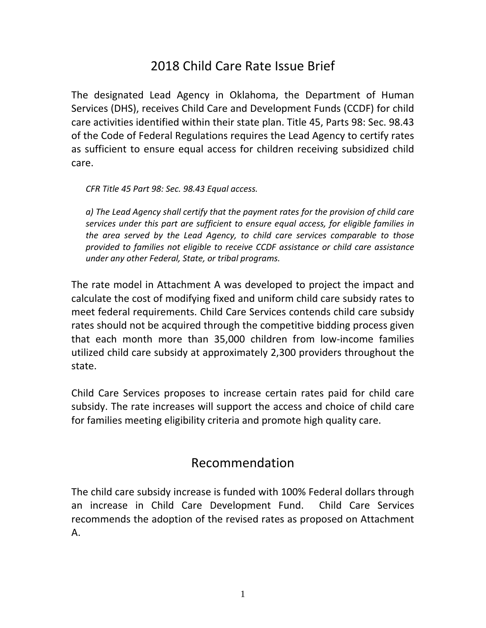## 2018 Child Care Rate Issue Brief

The designated Lead Agency in Oklahoma, the Department of Human Services (DHS), receives Child Care and Development Funds (CCDF) for child care activities identified within their state plan. Title 45, Parts 98: Sec. 98.43 of the Code of Federal Regulations requires the Lead Agency to certify rates as sufficient to ensure equal access for children receiving subsidized child care.

*CFR Title 45 Part 98: Sec. 98.43 Equal access.*

*a) The Lead Agency shall certify that the payment rates for the provision of child care services under this part are sufficient to ensure equal access, for eligible families in the area served by the Lead Agency, to child care services comparable to those provided to families not eligible to receive CCDF assistance or child care assistance under any other Federal, State, or tribal programs.*

The rate model in Attachment A was developed to project the impact and calculate the cost of modifying fixed and uniform child care subsidy rates to meet federal requirements. Child Care Services contends child care subsidy rates should not be acquired through the competitive bidding process given that each month more than 35,000 children from low‐income families utilized child care subsidy at approximately 2,300 providers throughout the state.

Child Care Services proposes to increase certain rates paid for child care subsidy. The rate increases will support the access and choice of child care for families meeting eligibility criteria and promote high quality care.

### Recommendation

The child care subsidy increase is funded with 100% Federal dollars through an increase in Child Care Development Fund. Child Care Services recommends the adoption of the revised rates as proposed on Attachment A.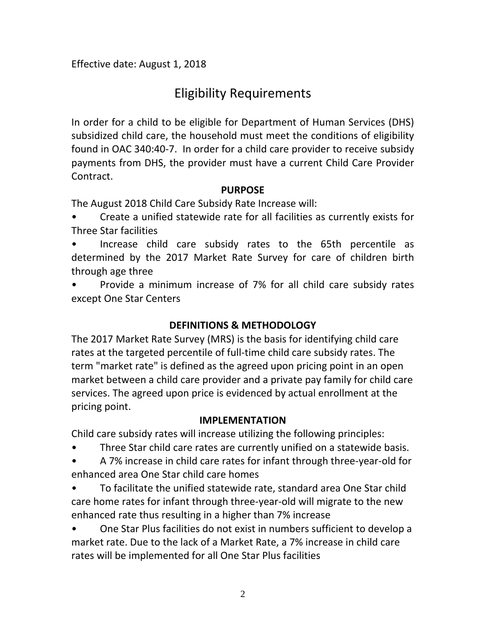Effective date: August 1, 2018

# Eligibility Requirements

In order for a child to be eligible for Department of Human Services (DHS) subsidized child care, the household must meet the conditions of eligibility found in OAC 340:40‐7. In order for a child care provider to receive subsidy payments from DHS, the provider must have a current Child Care Provider Contract.

#### **PURPOSE**

The August 2018 Child Care Subsidy Rate Increase will:

• Create a unified statewide rate for all facilities as currently exists for Three Star facilities

• Increase child care subsidy rates to the 65th percentile as determined by the 2017 Market Rate Survey for care of children birth through age three

• Provide a minimum increase of 7% for all child care subsidy rates except One Star Centers

#### **DEFINITIONS & METHODOLOGY**

The 2017 Market Rate Survey (MRS) is the basis for identifying child care rates at the targeted percentile of full‐time child care subsidy rates. The term "market rate" is defined as the agreed upon pricing point in an open market between a child care provider and a private pay family for child care services. The agreed upon price is evidenced by actual enrollment at the pricing point.

#### **IMPLEMENTATION**

Child care subsidy rates will increase utilizing the following principles:

Three Star child care rates are currently unified on a statewide basis.

• A 7% increase in child care rates for infant through three‐year‐old for enhanced area One Star child care homes

• To facilitate the unified statewide rate, standard area One Star child care home rates for infant through three‐year‐old will migrate to the new enhanced rate thus resulting in a higher than 7% increase

• One Star Plus facilities do not exist in numbers sufficient to develop a market rate. Due to the lack of a Market Rate, a 7% increase in child care rates will be implemented for all One Star Plus facilities